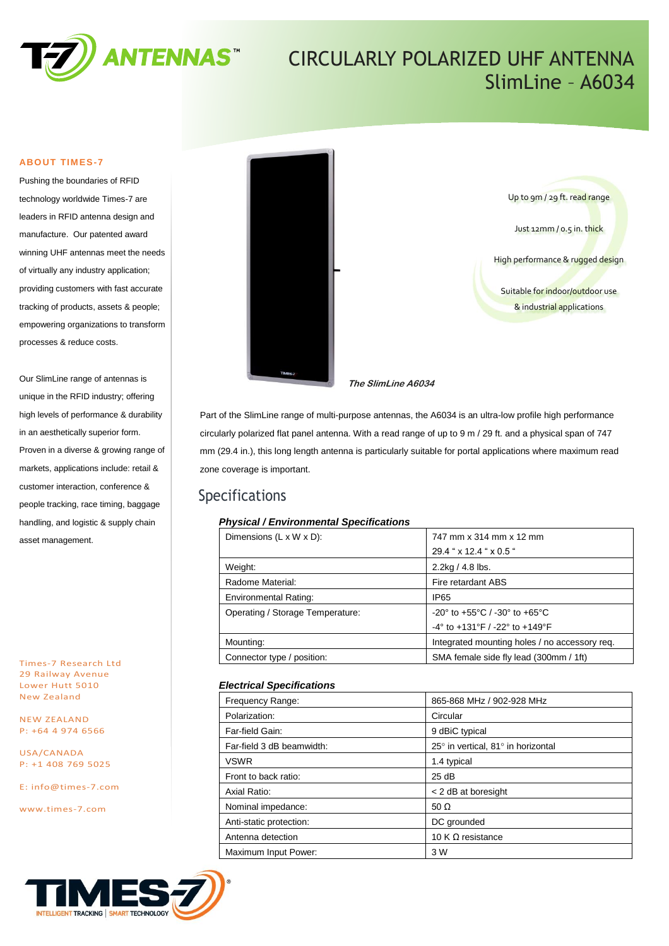

## CIRCULARLY POLARIZED UHF ANTENNA SlimLine – A6034

## **ABOUT TIMES-7**

Pushing the boundaries of RFID technology worldwide Times-7 are leaders in RFID antenna design and manufacture. Our patented award winning UHF antennas meet the needs of virtually any industry application; providing customers with fast accurate tracking of products, assets & people; empowering organizations to transform processes & reduce costs.

Our SlimLine range of antennas is unique in the RFID industry; offering high levels of performance & durability in an aesthetically superior form. Proven in a diverse & growing range of markets, applications include: retail & customer interaction, conference & people tracking, race timing, baggage handling, and logistic & supply chain asset management.

Times-7 Research Ltd 29 Railway Avenue Lower Hutt 5010 New Zealand

NEW ZEALAND P: +64 4 974 6566

USA/CANADA P: +1 408 769 5025

E: [info@times-7.com](mailto:info@times-7.com)

www.times-7.com



Up to 9m / 29 ft. read range Just 12mm / 0.5 in. thick High performance & rugged design Suitable for indoor/outdoor use & industrial applications

**The SlimLine A6034** 

Part of the SlimLine range of multi-purpose antennas, the A6034 is an ultra-low profile high performance circularly polarized flat panel antenna. With a read range of up to 9 m / 29 ft. and a physical span of 747 mm (29.4 in.), this long length antenna is particularly suitable for portal applications where maximum read zone coverage is important.

## Specifications

## *Physical / Environmental Specifications*

| Dimensions $(L \times W \times D)$ : | 747 mm x 314 mm x 12 mm                                              |  |
|--------------------------------------|----------------------------------------------------------------------|--|
|                                      | 29.4 " x 12.4 " x 0.5 "                                              |  |
| Weight:                              | $2.2$ kg / 4.8 lbs.                                                  |  |
| Radome Material:                     | Fire retardant ABS                                                   |  |
| <b>Environmental Rating:</b>         | IP <sub>65</sub>                                                     |  |
| Operating / Storage Temperature:     | $-20^{\circ}$ to $+55^{\circ}$ C / $-30^{\circ}$ to $+65^{\circ}$ C  |  |
|                                      | $-4^{\circ}$ to $+131^{\circ}$ F / $-22^{\circ}$ to $+149^{\circ}$ F |  |
| Mounting:                            | Integrated mounting holes / no accessory req.                        |  |
| Connector type / position:           | SMA female side fly lead (300mm / 1ft)                               |  |

## *Electrical Specifications*

| 865-868 MHz / 902-928 MHz          |
|------------------------------------|
| Circular                           |
| 9 dBiC typical                     |
| 25° in vertical, 81° in horizontal |
| 1.4 typical                        |
| 25 dB                              |
| < 2 dB at boresight                |
| 50 $\Omega$                        |
| DC grounded                        |
| 10 K $\Omega$ resistance           |
| 3 W                                |
|                                    |